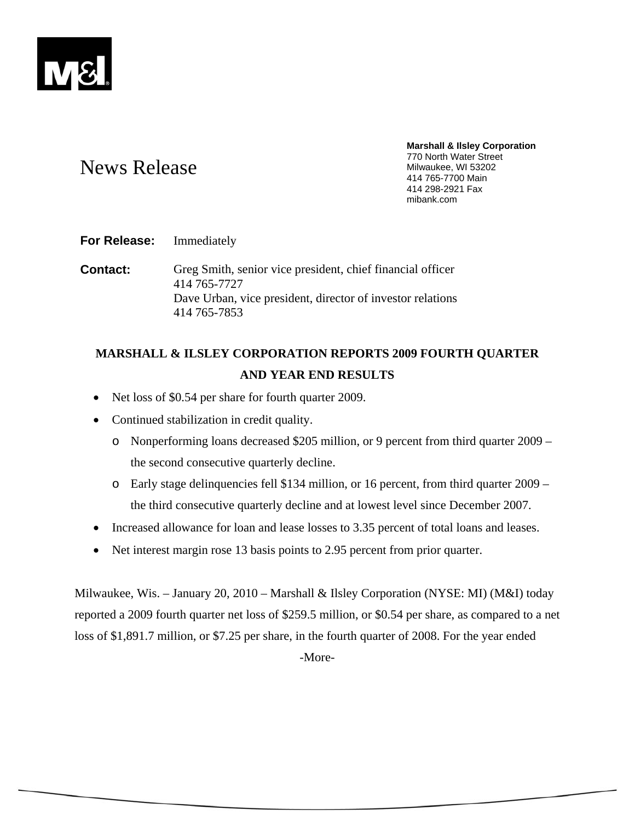

# News Release

**Marshall & Ilsley Corporation**  770 North Water Street Milwaukee, WI 53202 414 765-7700 Main 414 298-2921 Fax mibank.com

## **For Release:** Immediately

**Contact:** Greg Smith, senior vice president, chief financial officer 414 765-7727 Dave Urban, vice president, director of investor relations 414 765-7853

## **MARSHALL & ILSLEY CORPORATION REPORTS 2009 FOURTH QUARTER AND YEAR END RESULTS**

- Net loss of \$0.54 per share for fourth quarter 2009.
- Continued stabilization in credit quality.
	- o Nonperforming loans decreased \$205 million, or 9 percent from third quarter 2009 the second consecutive quarterly decline.
	- o Early stage delinquencies fell \$134 million, or 16 percent, from third quarter 2009 the third consecutive quarterly decline and at lowest level since December 2007.
- Increased allowance for loan and lease losses to 3.35 percent of total loans and leases.
- Net interest margin rose 13 basis points to 2.95 percent from prior quarter.

Milwaukee, Wis. – January 20, 2010 – Marshall & Ilsley Corporation (NYSE: MI) (M&I) today reported a 2009 fourth quarter net loss of \$259.5 million, or \$0.54 per share, as compared to a net loss of \$1,891.7 million, or \$7.25 per share, in the fourth quarter of 2008. For the year ended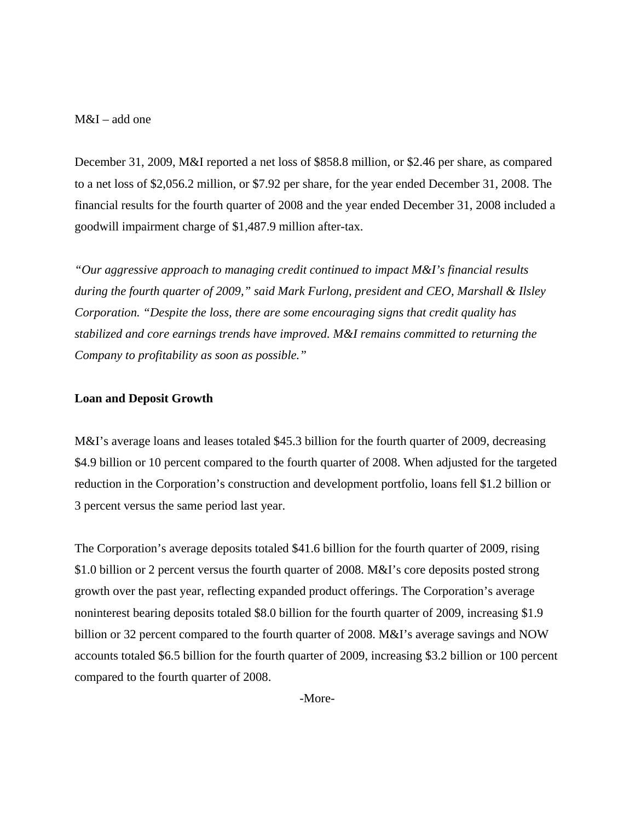## M&I – add one

December 31, 2009, M&I reported a net loss of \$858.8 million, or \$2.46 per share, as compared to a net loss of \$2,056.2 million, or \$7.92 per share, for the year ended December 31, 2008. The financial results for the fourth quarter of 2008 and the year ended December 31, 2008 included a goodwill impairment charge of \$1,487.9 million after-tax.

*"Our aggressive approach to managing credit continued to impact M&I's financial results during the fourth quarter of 2009," said Mark Furlong, president and CEO, Marshall & Ilsley Corporation. "Despite the loss, there are some encouraging signs that credit quality has stabilized and core earnings trends have improved. M&I remains committed to returning the Company to profitability as soon as possible."* 

#### **Loan and Deposit Growth**

M&I's average loans and leases totaled \$45.3 billion for the fourth quarter of 2009, decreasing \$4.9 billion or 10 percent compared to the fourth quarter of 2008. When adjusted for the targeted reduction in the Corporation's construction and development portfolio, loans fell \$1.2 billion or 3 percent versus the same period last year.

The Corporation's average deposits totaled \$41.6 billion for the fourth quarter of 2009, rising \$1.0 billion or 2 percent versus the fourth quarter of 2008. M&I's core deposits posted strong growth over the past year, reflecting expanded product offerings. The Corporation's average noninterest bearing deposits totaled \$8.0 billion for the fourth quarter of 2009, increasing \$1.9 billion or 32 percent compared to the fourth quarter of 2008. M&I's average savings and NOW accounts totaled \$6.5 billion for the fourth quarter of 2009, increasing \$3.2 billion or 100 percent compared to the fourth quarter of 2008.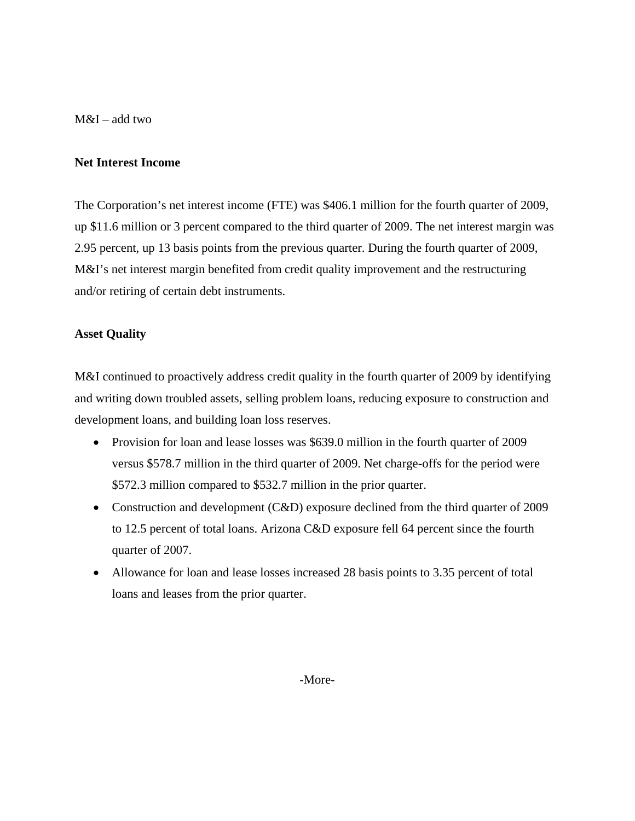M&I – add two

## **Net Interest Income**

The Corporation's net interest income (FTE) was \$406.1 million for the fourth quarter of 2009, up \$11.6 million or 3 percent compared to the third quarter of 2009. The net interest margin was 2.95 percent, up 13 basis points from the previous quarter. During the fourth quarter of 2009, M&I's net interest margin benefited from credit quality improvement and the restructuring and/or retiring of certain debt instruments.

## **Asset Quality**

M&I continued to proactively address credit quality in the fourth quarter of 2009 by identifying and writing down troubled assets, selling problem loans, reducing exposure to construction and development loans, and building loan loss reserves.

- Provision for loan and lease losses was \$639.0 million in the fourth quarter of 2009 versus \$578.7 million in the third quarter of 2009. Net charge-offs for the period were \$572.3 million compared to \$532.7 million in the prior quarter.
- Construction and development (C&D) exposure declined from the third quarter of 2009 to 12.5 percent of total loans. Arizona C&D exposure fell 64 percent since the fourth quarter of 2007.
- Allowance for loan and lease losses increased 28 basis points to 3.35 percent of total loans and leases from the prior quarter.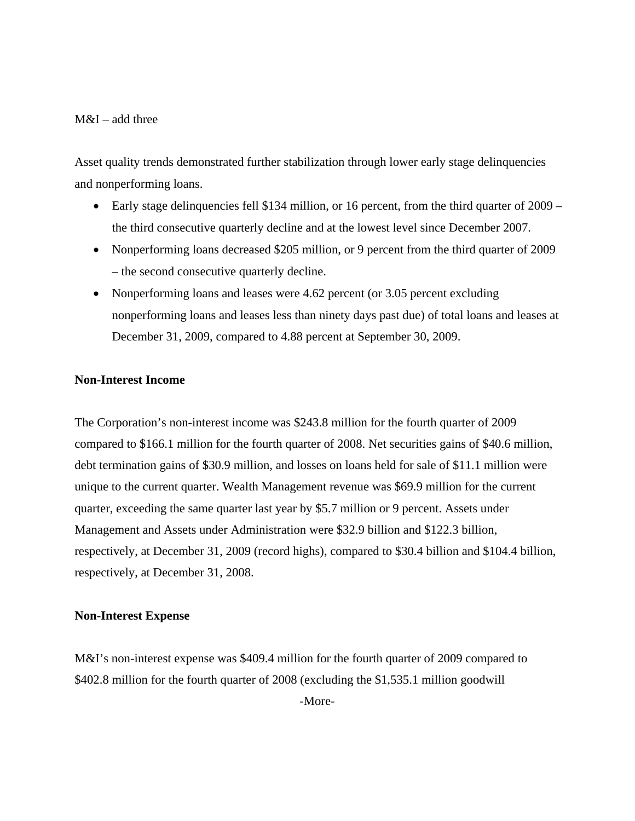## M&I – add three

Asset quality trends demonstrated further stabilization through lower early stage delinquencies and nonperforming loans.

- Early stage delinquencies fell \$134 million, or 16 percent, from the third quarter of 2009 the third consecutive quarterly decline and at the lowest level since December 2007.
- Nonperforming loans decreased \$205 million, or 9 percent from the third quarter of 2009 – the second consecutive quarterly decline.
- Nonperforming loans and leases were 4.62 percent (or 3.05 percent excluding nonperforming loans and leases less than ninety days past due) of total loans and leases at December 31, 2009, compared to 4.88 percent at September 30, 2009.

## **Non-Interest Income**

The Corporation's non-interest income was \$243.8 million for the fourth quarter of 2009 compared to \$166.1 million for the fourth quarter of 2008. Net securities gains of \$40.6 million, debt termination gains of \$30.9 million, and losses on loans held for sale of \$11.1 million were unique to the current quarter. Wealth Management revenue was \$69.9 million for the current quarter, exceeding the same quarter last year by \$5.7 million or 9 percent. Assets under Management and Assets under Administration were \$32.9 billion and \$122.3 billion, respectively, at December 31, 2009 (record highs), compared to \$30.4 billion and \$104.4 billion, respectively, at December 31, 2008.

#### **Non-Interest Expense**

M&I's non-interest expense was \$409.4 million for the fourth quarter of 2009 compared to \$402.8 million for the fourth quarter of 2008 (excluding the \$1,535.1 million goodwill -More-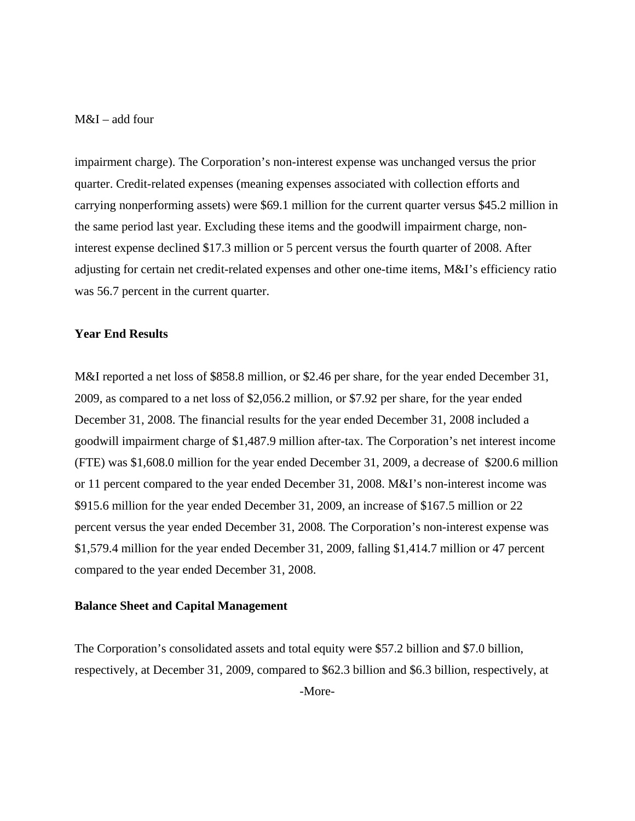## M&I – add four

impairment charge). The Corporation's non-interest expense was unchanged versus the prior quarter. Credit-related expenses (meaning expenses associated with collection efforts and carrying nonperforming assets) were \$69.1 million for the current quarter versus \$45.2 million in the same period last year. Excluding these items and the goodwill impairment charge, noninterest expense declined \$17.3 million or 5 percent versus the fourth quarter of 2008. After adjusting for certain net credit-related expenses and other one-time items, M&I's efficiency ratio was 56.7 percent in the current quarter.

#### **Year End Results**

M&I reported a net loss of \$858.8 million, or \$2.46 per share, for the year ended December 31, 2009, as compared to a net loss of \$2,056.2 million, or \$7.92 per share, for the year ended December 31, 2008. The financial results for the year ended December 31, 2008 included a goodwill impairment charge of \$1,487.9 million after-tax. The Corporation's net interest income (FTE) was \$1,608.0 million for the year ended December 31, 2009, a decrease of \$200.6 million or 11 percent compared to the year ended December 31, 2008. M&I's non-interest income was \$915.6 million for the year ended December 31, 2009, an increase of \$167.5 million or 22 percent versus the year ended December 31, 2008. The Corporation's non-interest expense was \$1,579.4 million for the year ended December 31, 2009, falling \$1,414.7 million or 47 percent compared to the year ended December 31, 2008.

#### **Balance Sheet and Capital Management**

The Corporation's consolidated assets and total equity were \$57.2 billion and \$7.0 billion, respectively, at December 31, 2009, compared to \$62.3 billion and \$6.3 billion, respectively, at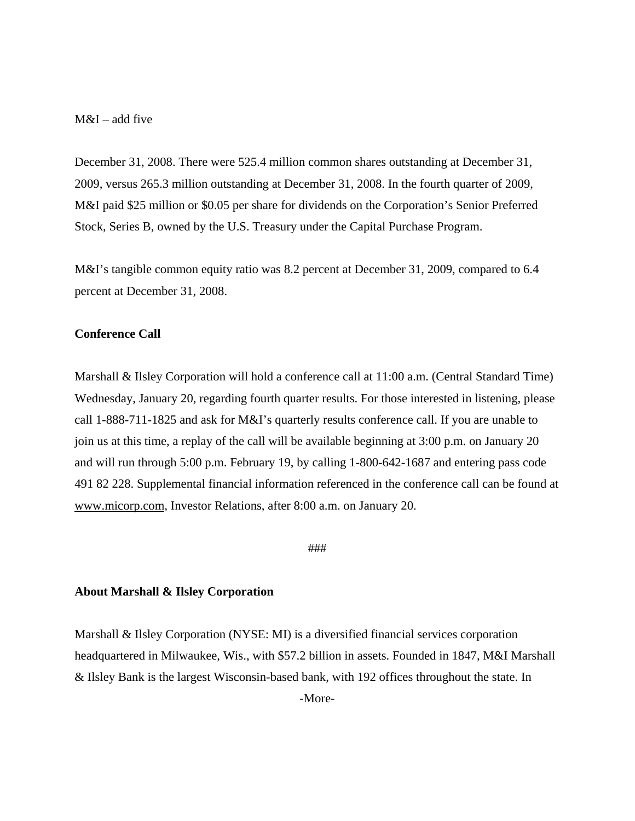## M&I – add five

December 31, 2008. There were 525.4 million common shares outstanding at December 31, 2009, versus 265.3 million outstanding at December 31, 2008. In the fourth quarter of 2009, M&I paid \$25 million or \$0.05 per share for dividends on the Corporation's Senior Preferred Stock, Series B, owned by the U.S. Treasury under the Capital Purchase Program.

M&I's tangible common equity ratio was 8.2 percent at December 31, 2009, compared to 6.4 percent at December 31, 2008.

### **Conference Call**

Marshall & Ilsley Corporation will hold a conference call at 11:00 a.m. (Central Standard Time) Wednesday, January 20, regarding fourth quarter results. For those interested in listening, please call 1-888-711-1825 and ask for M&I's quarterly results conference call. If you are unable to join us at this time, a replay of the call will be available beginning at 3:00 p.m. on January 20 and will run through 5:00 p.m. February 19, by calling 1-800-642-1687 and entering pass code 491 82 228. Supplemental financial information referenced in the conference call can be found at www.micorp.com, Investor Relations, after 8:00 a.m. on January 20.

###

#### **About Marshall & Ilsley Corporation**

Marshall & Ilsley Corporation (NYSE: MI) is a diversified financial services corporation headquartered in Milwaukee, Wis., with \$57.2 billion in assets. Founded in 1847, M&I Marshall & Ilsley Bank is the largest Wisconsin-based bank, with 192 offices throughout the state. In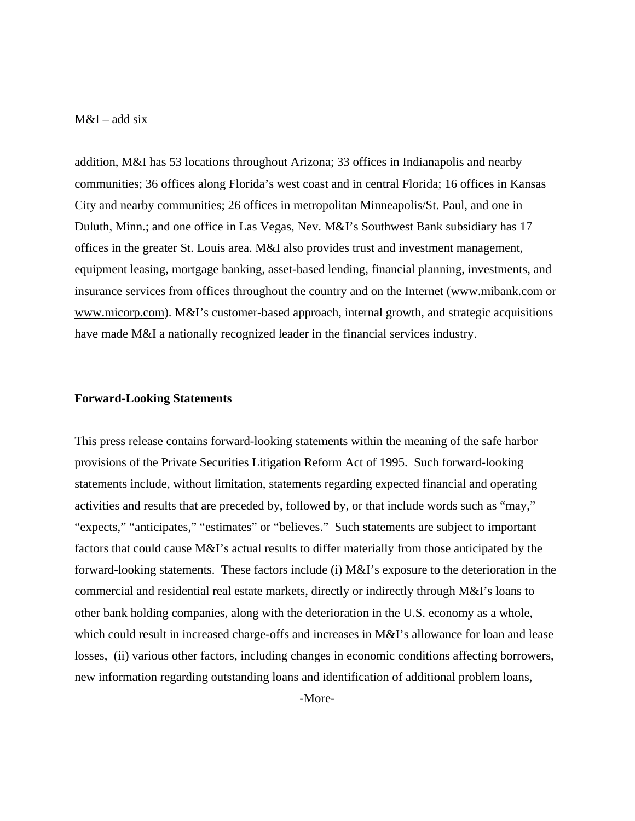## $M&I$  – add six

addition, M&I has 53 locations throughout Arizona; 33 offices in Indianapolis and nearby communities; 36 offices along Florida's west coast and in central Florida; 16 offices in Kansas City and nearby communities; 26 offices in metropolitan Minneapolis/St. Paul, and one in Duluth, Minn.; and one office in Las Vegas, Nev. M&I's Southwest Bank subsidiary has 17 offices in the greater St. Louis area. M&I also provides trust and investment management, equipment leasing, mortgage banking, asset-based lending, financial planning, investments, and insurance services from offices throughout the country and on the Internet (www.mibank.com or www.micorp.com). M&I's customer-based approach, internal growth, and strategic acquisitions have made M&I a nationally recognized leader in the financial services industry.

#### **Forward-Looking Statements**

This press release contains forward-looking statements within the meaning of the safe harbor provisions of the Private Securities Litigation Reform Act of 1995. Such forward-looking statements include, without limitation, statements regarding expected financial and operating activities and results that are preceded by, followed by, or that include words such as "may," "expects," "anticipates," "estimates" or "believes." Such statements are subject to important factors that could cause M&I's actual results to differ materially from those anticipated by the forward-looking statements. These factors include (i) M&I's exposure to the deterioration in the commercial and residential real estate markets, directly or indirectly through M&I's loans to other bank holding companies, along with the deterioration in the U.S. economy as a whole, which could result in increased charge-offs and increases in M&I's allowance for loan and lease losses, (ii) various other factors, including changes in economic conditions affecting borrowers, new information regarding outstanding loans and identification of additional problem loans,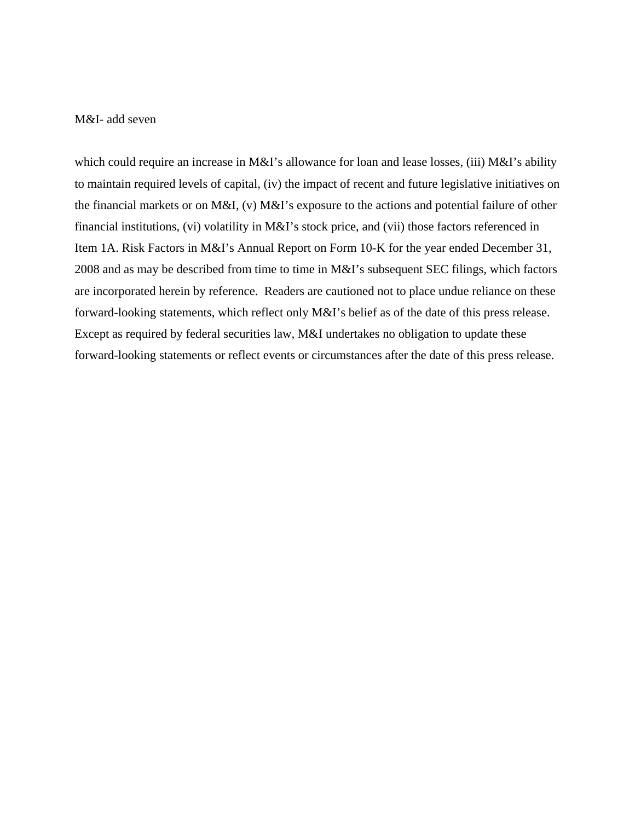## M&I- add seven

which could require an increase in M&I's allowance for loan and lease losses, (iii) M&I's ability to maintain required levels of capital, (iv) the impact of recent and future legislative initiatives on the financial markets or on M&I, (v) M&I's exposure to the actions and potential failure of other financial institutions, (vi) volatility in M&I's stock price, and (vii) those factors referenced in Item 1A. Risk Factors in M&I's Annual Report on Form 10-K for the year ended December 31, 2008 and as may be described from time to time in M&I's subsequent SEC filings, which factors are incorporated herein by reference. Readers are cautioned not to place undue reliance on these forward-looking statements, which reflect only M&I's belief as of the date of this press release. Except as required by federal securities law, M&I undertakes no obligation to update these forward-looking statements or reflect events or circumstances after the date of this press release.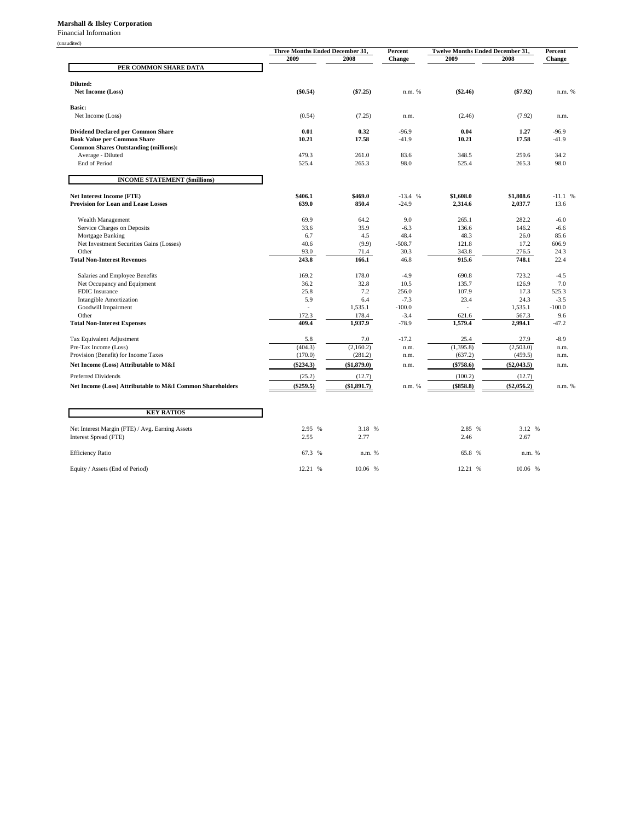#### **Marshall & Ilsley Corporation**

Financial Information

| 111211 |  |
|--------|--|
|        |  |

|                                                               |                    | Three Months Ended December 31, |                   | <b>Twelve Months Ended December 31,</b> |                      | Percent        |
|---------------------------------------------------------------|--------------------|---------------------------------|-------------------|-----------------------------------------|----------------------|----------------|
|                                                               | 2009               | 2008                            | Percent<br>Change | 2009                                    | 2008                 | Change         |
| PER COMMON SHARE DATA                                         |                    |                                 |                   |                                         |                      |                |
| Diluted:                                                      |                    |                                 |                   |                                         |                      |                |
| <b>Net Income (Loss)</b>                                      | (\$0.54)           | $(\$7.25)$                      | n.m. %            | $(\$2.46)$                              | $(\$7.92)$           | n.m. %         |
| <b>Basic:</b>                                                 |                    |                                 |                   |                                         |                      |                |
| Net Income (Loss)                                             | (0.54)             | (7.25)                          | n.m.              | (2.46)                                  | (7.92)               | n.m.           |
| <b>Dividend Declared per Common Share</b>                     | 0.01               | 0.32                            | $-96.9$           | 0.04                                    | 1.27                 | $-96.9$        |
| <b>Book Value per Common Share</b>                            | 10.21              | 17.58                           | $-41.9$           | 10.21                                   | 17.58                | $-41.9$        |
| <b>Common Shares Outstanding (millions):</b>                  |                    |                                 |                   |                                         |                      |                |
| Average - Diluted                                             | 479.3              | 261.0<br>265.3                  | 83.6<br>98.0      | 348.5                                   | 259.6                | 34.2<br>98.0   |
| <b>End of Period</b>                                          | 525.4              |                                 |                   | 525.4                                   | 265.3                |                |
| <b>INCOME STATEMENT (\$millions)</b>                          |                    |                                 |                   |                                         |                      |                |
| <b>Net Interest Income (FTE)</b>                              | \$406.1            | \$469.0                         | $-13.4%$          | \$1,608.0                               | \$1,808.6            | $-11.1$ %      |
| <b>Provision for Loan and Lease Losses</b>                    | 639.0              | 850.4                           | $-24.9$           | 2,314.6                                 | 2,037.7              | 13.6           |
| Wealth Management                                             | 69.9               | 64.2                            | 9.0               | 265.1                                   | 282.2                | $-6.0$         |
| Service Charges on Deposits                                   | 33.6               | 35.9                            | $-6.3$            | 136.6                                   | 146.2                | $-6.6$         |
| Mortgage Banking                                              | 6.7                | 4.5                             | 48.4              | 48.3                                    | 26.0                 | 85.6           |
| Net Investment Securities Gains (Losses)                      | 40.6               | (9.9)                           | $-508.7$          | 121.8                                   | 17.2                 | 606.9          |
| Other                                                         | 93.0               | 71.4                            | 30.3              | 343.8                                   | 276.5                | 24.3           |
| <b>Total Non-Interest Revenues</b>                            | 243.8              | 166.1                           | 46.8              | 915.6                                   | 748.1                | 22.4           |
| Salaries and Employee Benefits                                | 169.2              | 178.0                           | $-4.9$            | 690.8                                   | 723.2                | $-4.5$         |
| Net Occupancy and Equipment                                   | 36.2               | 32.8                            | 10.5              | 135.7                                   | 126.9                | 7.0            |
| FDIC Insurance                                                | 25.8               | 7.2                             | 256.0             | 107.9                                   | 17.3                 | 525.3          |
| <b>Intangible Amortization</b>                                | 5.9                | 6.4                             | $-7.3$            | 23.4                                    | 24.3                 | $-3.5$         |
| Goodwill Impairment                                           |                    | 1,535.1                         | $-100.0$          |                                         | 1,535.1              | $-100.0$       |
| Other<br><b>Total Non-Interest Expenses</b>                   | 172.3<br>409.4     | 178.4<br>1,937.9                | $-3.4$<br>$-78.9$ | 621.6<br>1,579.4                        | 567.3<br>2,994.1     | 9.6<br>$-47.2$ |
|                                                               |                    |                                 |                   |                                         |                      |                |
| Tax Equivalent Adjustment                                     | 5.8                | 7.0                             | $-17.2$           | 25.4                                    | 27.9                 | $-8.9$         |
| Pre-Tax Income (Loss)<br>Provision (Benefit) for Income Taxes | (404.3)<br>(170.0) | (2,160.2)<br>(281.2)            | n.m.<br>n.m.      | (1,395.8)<br>(637.2)                    | (2,503.0)<br>(459.5) | n.m.<br>n.m.   |
| Net Income (Loss) Attributable to M&I                         | $(\$234.3)$        | (\$1,879.0)                     | n.m.              | $(\$758.6)$                             | $(\$2,043.5)$        | n.m.           |
| Preferred Dividends                                           | (25.2)             | (12.7)                          |                   | (100.2)                                 | (12.7)               |                |
| Net Income (Loss) Attributable to M&I Common Shareholders     | $(\$259.5)$        | $(\$1,891.7)$                   | n.m. %            | $(\$858.8)$                             | $(\$2,056.2)$        | n.m. %         |
|                                                               |                    |                                 |                   |                                         |                      |                |
| <b>KEY RATIOS</b>                                             |                    |                                 |                   |                                         |                      |                |
| Net Interest Margin (FTE) / Avg. Earning Assets               | 2.95 %             | 3.18 %                          |                   | 2.85 %                                  | 3.12 %               |                |
| Interest Spread (FTE)                                         | 2.55               | 2.77                            |                   | 2.46                                    | 2.67                 |                |
| <b>Efficiency Ratio</b>                                       | 67.3 %             | n.m. %                          |                   | 65.8 %                                  | n.m. %               |                |

Equity / Assets (End of Period) 12.21 % 10.06 % 12.21 % 10.06 % 12.21 % 10.06 %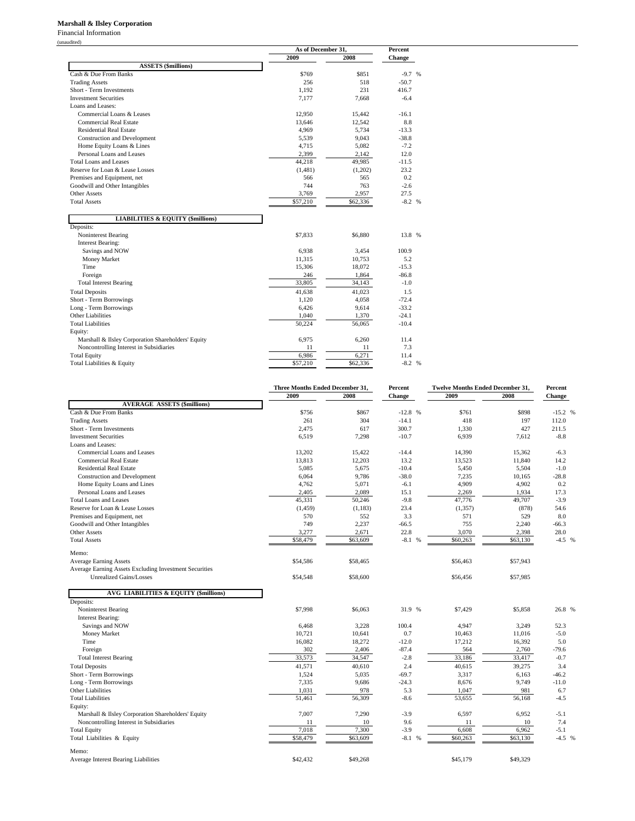#### **Marshall & Ilsley Corporation**

Financial Information (unaudited)

|                                                    | As of December 31, |          | <b>Percent</b> |  |  |
|----------------------------------------------------|--------------------|----------|----------------|--|--|
|                                                    | 2009               | 2008     | <b>Change</b>  |  |  |
| <b>ASSETS</b> (\$millions)                         |                    |          |                |  |  |
| Cash & Due From Banks                              | \$769              | \$851    | $-9.7%$        |  |  |
| <b>Trading Assets</b>                              | 256                | 518      | $-50.7$        |  |  |
| Short - Term Investments                           | 1,192              | 231      | 416.7          |  |  |
| <b>Investment Securities</b>                       | 7,177              | 7,668    | $-6.4$         |  |  |
| Loans and Leases:                                  |                    |          |                |  |  |
| Commercial Loans & Leases                          | 12,950             | 15,442   | $-16.1$        |  |  |
| <b>Commercial Real Estate</b>                      | 13,646             | 12,542   | 8.8            |  |  |
| <b>Residential Real Estate</b>                     | 4,969              | 5,734    | $-13.3$        |  |  |
| <b>Construction and Development</b>                | 5,539              | 9,043    | $-38.8$        |  |  |
| Home Equity Loans & Lines                          | 4,715              | 5,082    | $-7.2$         |  |  |
| Personal Loans and Leases                          | 2,399              | 2,142    | 12.0           |  |  |
| Total Loans and Leases                             | 44,218             | 49,985   | $-11.5$        |  |  |
| Reserve for Loan & Lease Losses                    | (1,481)            | (1,202)  | 23.2           |  |  |
| Premises and Equipment, net                        | 566                | 565      | 0.2            |  |  |
| Goodwill and Other Intangibles                     | 744                | 763      | $-2.6$         |  |  |
| <b>Other Assets</b>                                | 3,769              | 2,957    | 27.5           |  |  |
| <b>Total Assets</b>                                | \$57,210           | \$62,336 | $-8.2 %$       |  |  |
|                                                    |                    |          |                |  |  |
| <b>LIABILITIES &amp; EQUITY (\$millions)</b>       |                    |          |                |  |  |
| Deposits:                                          |                    |          |                |  |  |
| Noninterest Bearing                                | \$7,833            | \$6,880  | 13.8 %         |  |  |
| <b>Interest Bearing:</b>                           |                    |          |                |  |  |
| Savings and NOW                                    | 6,938              | 3,454    | 100.9          |  |  |
| Money Market                                       | 11,315             | 10,753   | 5.2            |  |  |
| Time                                               | 15,306             | 18,072   | $-15.3$        |  |  |
| Foreign                                            | 246                | 1,864    | $-86.8$        |  |  |
| <b>Total Interest Bearing</b>                      | 33,805             | 34,143   | $-1.0$         |  |  |
| <b>Total Deposits</b>                              | 41,638             | 41,023   | 1.5            |  |  |
| Short - Term Borrowings                            | 1.120              | 4.058    | $-72.4$        |  |  |
| Long - Term Borrowings                             | 6.426              | 9.614    | $-33.2$        |  |  |
| Other Liabilities                                  | 1,040              | 1,370    | $-24.1$        |  |  |
| <b>Total Liabilities</b>                           | 50,224             | 56,065   | $-10.4$        |  |  |
| Equity:                                            |                    |          |                |  |  |
| Marshall & Ilsley Corporation Shareholders' Equity | 6,975              | 6,260    | 11.4           |  |  |
| Noncontrolling Interest in Subsidiaries            | 11                 | 11       | 7.3            |  |  |
| <b>Total Equity</b>                                | 6,986              | 6.271    | 11.4           |  |  |
| Total Liabilities & Equity                         | \$57,210           | \$62,336 | $-8.2 %$       |  |  |

|                                                        | Three Months Ended December 31, |          | Percent                 | <b>Twelve Months Ended December 31,</b> |          | Percent  |
|--------------------------------------------------------|---------------------------------|----------|-------------------------|-----------------------------------------|----------|----------|
|                                                        | 2009                            | 2008     | Change                  | 2009                                    | 2008     | Change   |
| <b>AVERAGE ASSETS (\$millions)</b>                     |                                 |          |                         |                                         |          |          |
| Cash & Due From Banks                                  | \$756                           | \$867    | $-12.8$ %               | \$761                                   | \$898    | $-15.2%$ |
| <b>Trading Assets</b>                                  | 261                             | 304      | $-14.1$                 | 418                                     | 197      | 112.0    |
| Short - Term Investments                               | 2,475                           | 617      | 300.7                   | 1,330                                   | 427      | 211.5    |
| <b>Investment Securities</b>                           | 6,519                           | 7,298    | $-10.7$                 | 6,939                                   | 7,612    | $-8.8$   |
| Loans and Leases:                                      |                                 |          |                         |                                         |          |          |
| Commercial Loans and Leases                            | 13,202                          | 15,422   | $-14.4$                 | 14,390                                  | 15,362   | $-6.3$   |
| <b>Commercial Real Estate</b>                          | 13,813                          | 12,203   | 13.2                    | 13,523                                  | 11,840   | 14.2     |
| <b>Residential Real Estate</b>                         | 5,085                           | 5,675    | $-10.4$                 | 5,450                                   | 5,504    | $-1.0$   |
| <b>Construction and Development</b>                    | 6,064                           | 9,786    | $-38.0$                 | 7,235                                   | 10,165   | $-28.8$  |
| Home Equity Loans and Lines                            | 4,762                           | 5,071    | $-6.1$                  | 4,909                                   | 4,902    | 0.2      |
| Personal Loans and Leases                              | 2,405                           | 2,089    | 15.1                    | 2,269                                   | 1,934    | 17.3     |
| <b>Total Loans and Leases</b>                          | 45,331                          | 50,246   | $-9.8$                  | 47,776                                  | 49,707   | $-3.9$   |
| Reserve for Loan & Lease Losses                        | (1, 459)                        | (1, 183) | 23.4                    | (1, 357)                                | (878)    | 54.6     |
| Premises and Equipment, net                            | 570                             | 552      | 3.3                     | 571                                     | 529      | 8.0      |
| Goodwill and Other Intangibles                         | 749                             | 2,237    | $-66.5$                 | 755                                     | 2,240    | $-66.3$  |
| <b>Other Assets</b>                                    | 3,277                           | 2,671    | 22.8                    | 3,070                                   | 2,398    | 28.0     |
| <b>Total Assets</b>                                    | \$58,479                        | \$63,609 | $-8.1%$                 | \$60,263                                | \$63,130 | $-4.5%$  |
| Memo:                                                  |                                 |          |                         |                                         |          |          |
| <b>Average Earning Assets</b>                          | \$54,586                        | \$58,465 |                         | \$56,463                                | \$57,943 |          |
| Average Earning Assets Excluding Investment Securities |                                 |          |                         |                                         |          |          |
| <b>Unrealized Gains/Losses</b>                         | \$54,548                        | \$58,600 |                         | \$56,456                                | \$57,985 |          |
|                                                        |                                 |          |                         |                                         |          |          |
| <b>AVG LIABILITIES &amp; EQUITY (\$millions)</b>       |                                 |          |                         |                                         |          |          |
| Deposits:                                              |                                 |          |                         |                                         |          |          |
| Noninterest Bearing                                    | \$7,998                         | \$6,063  | 31.9 %                  | \$7,429                                 | \$5,858  | 26.8 %   |
| <b>Interest Bearing:</b>                               |                                 |          |                         |                                         |          |          |
| Savings and NOW                                        | 6,468                           | 3,228    | 100.4                   | 4,947                                   | 3,249    | 52.3     |
| Money Market                                           | 10,721                          | 10,641   | 0.7                     | 10,463                                  | 11,016   | $-5.0$   |
| Time                                                   | 16,082                          | 18,272   | $-12.0$                 | 17,212                                  | 16,392   | 5.0      |
| Foreign                                                | 302                             | 2,406    | $-87.4$                 | 564                                     | 2,760    | $-79.6$  |
| <b>Total Interest Bearing</b>                          | 33,573                          | 34,547   | $-2.8$                  | 33,186                                  | 33,417   | $-0.7$   |
| <b>Total Deposits</b>                                  | 41,571                          | 40,610   | 2.4                     | 40,615                                  | 39,275   | 3.4      |
| Short - Term Borrowings                                | 1,524                           | 5,035    | $-69.7$                 | 3,317                                   | 6,163    | $-46.2$  |
| Long - Term Borrowings                                 | 7,335                           | 9,686    | $-24.3$                 | 8,676                                   | 9,749    | $-11.0$  |
| <b>Other Liabilities</b>                               | 1,031                           | 978      | 5.3                     | 1,047                                   | 981      | 6.7      |
| <b>Total Liabilities</b>                               | 51,461                          | 56,309   | $-8.6$                  | 53,655                                  | 56,168   | $-4.5$   |
| Equity:                                                |                                 |          |                         |                                         |          |          |
| Marshall & Ilsley Corporation Shareholders' Equity     | 7,007                           | 7,290    | $-3.9$                  | 6,597                                   | 6,952    | $-5.1$   |
| Noncontrolling Interest in Subsidiaries                | 11                              | 10       | 9.6                     | 11                                      | 10       | 7.4      |
| <b>Total Equity</b>                                    | 7,018                           | 7,300    | $-3.9$                  | 6,608                                   | 6,962    | $-5.1$   |
| Total Liabilities & Equity                             | \$58,479                        | \$63,609 | $-8.1$<br>$\frac{9}{6}$ | \$60,263                                | \$63,130 | $-4.5%$  |
| Memo:                                                  |                                 |          |                         |                                         |          |          |
| <b>Average Interest Bearing Liabilities</b>            | \$42,432                        | \$49,268 |                         | \$45,179                                | \$49,329 |          |